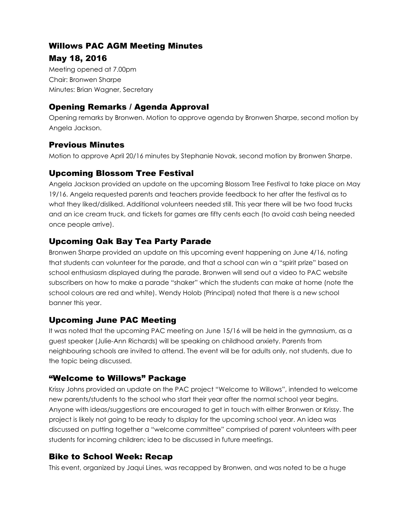#### Willows PAC AGM Meeting Minutes

#### May 18, 2016

Meeting opened at 7.00pm Chair: Bronwen Sharpe Minutes: Brian Wagner, Secretary

# Opening Remarks / Agenda Approval

Opening remarks by Bronwen. Motion to approve agenda by Bronwen Sharpe, second motion by Angela Jackson.

# Previous Minutes

Motion to approve April 20/16 minutes by Stephanie Novak, second motion by Bronwen Sharpe.

# Upcoming Blossom Tree Festival

Angela Jackson provided an update on the upcoming Blossom Tree Festival to take place on May 19/16. Angela requested parents and teachers provide feedback to her after the festival as to what they liked/disliked. Additional volunteers needed still. This year there will be two food trucks and an ice cream truck, and tickets for games are fifty cents each (to avoid cash being needed once people arrive).

# Upcoming Oak Bay Tea Party Parade

Bronwen Sharpe provided an update on this upcoming event happening on June 4/16, noting that students can volunteer for the parade, and that a school can win a "spirit prize" based on school enthusiasm displayed during the parade. Bronwen will send out a video to PAC website subscribers on how to make a parade "shaker" which the students can make at home (note the school colours are red and white). Wendy Holob (Principal) noted that there is a new school banner this year.

# Upcoming June PAC Meeting

It was noted that the upcoming PAC meeting on June 15/16 will be held in the gymnasium, as a guest speaker (Julie-Ann Richards) will be speaking on childhood anxiety. Parents from neighbouring schools are invited to attend. The event will be for adults only, not students, due to the topic being discussed.

#### "Welcome to Willows" Package

Krissy Johns provided an update on the PAC project "Welcome to Willows", intended to welcome new parents/students to the school who start their year after the normal school year begins. Anyone with ideas/suggestions are encouraged to get in touch with either Bronwen or Krissy. The project is likely not going to be ready to display for the upcoming school year. An idea was discussed on putting together a "welcome committee" comprised of parent volunteers with peer students for incoming children; idea to be discussed in future meetings.

# Bike to School Week: Recap

This event, organized by Jaqui Lines, was recapped by Bronwen, and was noted to be a huge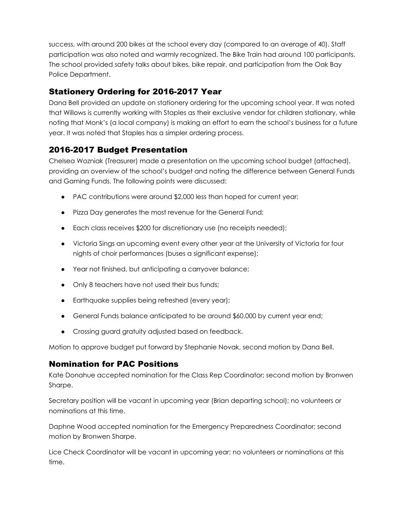success, with around 200 bikes at the school every day (compared to an average of 40). Staff participation was also noted and warmly recognized. The Bike Train had around 100 participants. The school provided safety talks about bikes, bike repair, and participation from the Oak Bay Police Department.

#### Stationery Ordering for 2016-2017 Year

Dana Bell provided an update on stationery ordering for the upcoming school year. It was noted that Willows is currently working with Staples as their exclusive vendor for children stationary, while noting that Monk's (a local company) is making an effort to earn the school's business for a future year. It was noted that Staples has a simpler ordering process.

# 2016-2017 Budget Presentation

Chelsea Wozniak (Treasurer) made a presentation on the upcoming school budget (attached), providing an overview of the school's budget and noting the difference between General Funds and Gaming Funds. The following points were discussed:

- PAC contributions were around \$2,000 less than hoped for current year;
- Pizza Day generates the most revenue for the General Fund;
- Each class receives \$200 for discretionary use (no receipts needed);
- Victoria Sings an upcoming event every other year at the University of Victoria for four nights of choir performances (buses a significant expense);
- Year not finished, but anticipating a carryover balance;
- Only 8 teachers have not used their bus funds;
- Earthquake supplies being refreshed (every year);
- General Funds balance anticipated to be around \$60,000 by current year end;
- Crossing guard gratuity adjusted based on feedback.

Motion to approve budget put forward by Stephanie Novak, second motion by Dana Bell.

#### Nomination for PAC Positions

Kate Donahue accepted nomination for the Class Rep Coordinator; second motion by Bronwen Sharpe.

Secretary position will be vacant in upcoming year (Brian departing school); no volunteers or nominations at this time.

Daphne Wood accepted nomination for the Emergency Preparedness Coordinator; second motion by Bronwen Sharpe.

Lice Check Coordinator will be vacant in upcoming year; no volunteers or nominations at this time.